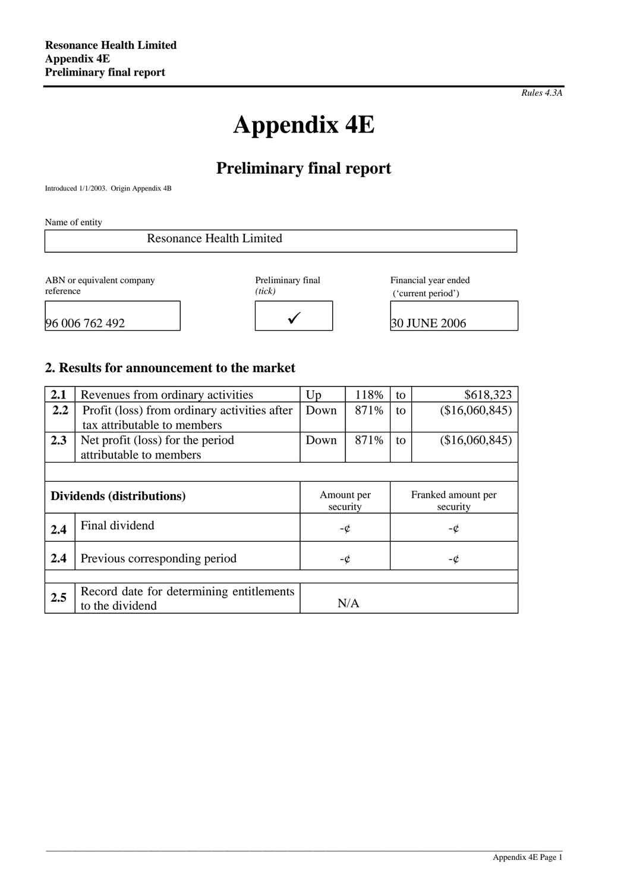*Rules 4.3A*

# **Appendix 4E**

# **Preliminary final report**

Introduced 1/1/2003. Origin Appendix 4B

Name of entity

| <b>Resonance Health Limited</b> |                   |                      |
|---------------------------------|-------------------|----------------------|
|                                 |                   |                      |
| ABN or equivalent company       | Preliminary final | Financial year ended |

reference

*(tick)*

Financial year ended ('current period')

96 006 762 492 9 30 JUNE 2006

| нск) |              |  |
|------|--------------|--|
|      | $\checkmark$ |  |

### **2. Results for announcement to the market**

| 2.1                       | Revenues from ordinary activities                           | 118%<br>Up<br>to       |          | \$618,323                      |                |
|---------------------------|-------------------------------------------------------------|------------------------|----------|--------------------------------|----------------|
| 2.2                       | Profit (loss) from ordinary activities after                | Down                   | 871%     | to                             | (\$16,060,845) |
|                           | tax attributable to members                                 |                        |          |                                |                |
| 2.3                       | Net profit (loss) for the period                            | Down                   | 871%     | to                             | (\$16,060,845) |
|                           | attributable to members                                     |                        |          |                                |                |
|                           |                                                             |                        |          |                                |                |
| Dividends (distributions) |                                                             | Amount per<br>security |          | Franked amount per<br>security |                |
| 2.4                       | Final dividend                                              |                        | -¢<br>-¢ |                                |                |
| 2.4                       | Previous corresponding period                               | -¢<br>-¢               |          |                                |                |
|                           |                                                             |                        |          |                                |                |
| 2.5                       | Record date for determining entitlements<br>to the dividend |                        | N/A      |                                |                |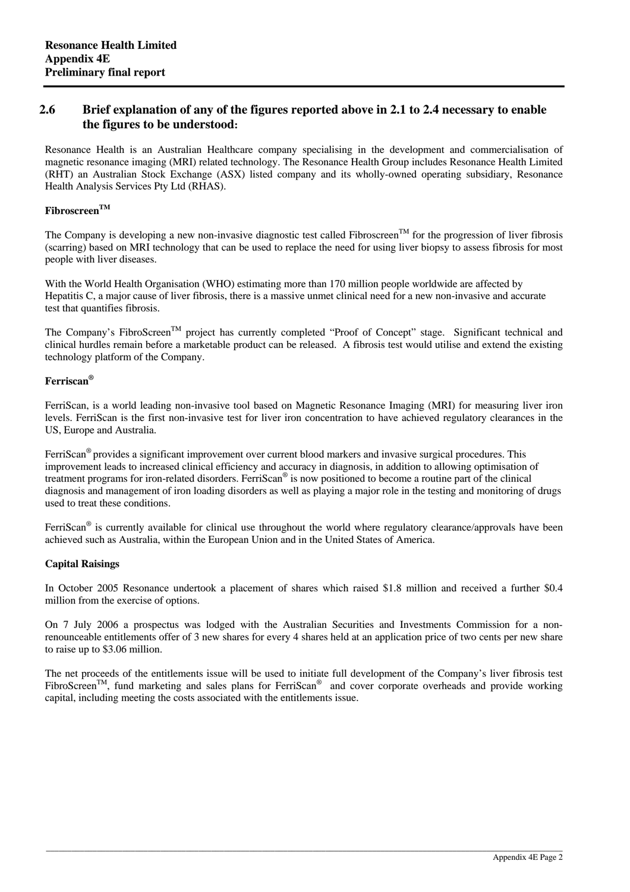#### **2.6 Brief explanation of any of the figures reported above in 2.1 to 2.4 necessary to enable the figures to be understood:**

Resonance Health is an Australian Healthcare company specialising in the development and commercialisation of magnetic resonance imaging (MRI) related technology. The Resonance Health Group includes Resonance Health Limited (RHT) an Australian Stock Exchange (ASX) listed company and its wholly-owned operating subsidiary, Resonance Health Analysis Services Pty Ltd (RHAS).

#### **FibroscreenTM**

The Company is developing a new non-invasive diagnostic test called Fibroscreen<sup>TM</sup> for the progression of liver fibrosis (scarring) based on MRI technology that can be used to replace the need for using liver biopsy to assess fibrosis for most people with liver diseases.

With the World Health Organisation (WHO) estimating more than 170 million people worldwide are affected by Hepatitis C, a major cause of liver fibrosis, there is a massive unmet clinical need for a new non-invasive and accurate test that quantifies fibrosis.

The Company's FibroScreen<sup>TM</sup> project has currently completed "Proof of Concept" stage. Significant technical and clinical hurdles remain before a marketable product can be released. A fibrosis test would utilise and extend the existing technology platform of the Company.

#### **Ferriscan®**

FerriScan, is a world leading non-invasive tool based on Magnetic Resonance Imaging (MRI) for measuring liver iron levels. FerriScan is the first non-invasive test for liver iron concentration to have achieved regulatory clearances in the US, Europe and Australia.

FerriScan® provides a significant improvement over current blood markers and invasive surgical procedures. This improvement leads to increased clinical efficiency and accuracy in diagnosis, in addition to allowing optimisation of treatment programs for iron-related disorders. FerriScan® is now positioned to become a routine part of the clinical diagnosis and management of iron loading disorders as well as playing a major role in the testing and monitoring of drugs used to treat these conditions.

FerriScan<sup>®</sup> is currently available for clinical use throughout the world where regulatory clearance/approvals have been achieved such as Australia, within the European Union and in the United States of America.

#### **Capital Raisings**

In October 2005 Resonance undertook a placement of shares which raised \$1.8 million and received a further \$0.4 million from the exercise of options.

On 7 July 2006 a prospectus was lodged with the Australian Securities and Investments Commission for a nonrenounceable entitlements offer of 3 new shares for every 4 shares held at an application price of two cents per new share to raise up to \$3.06 million.

The net proceeds of the entitlements issue will be used to initiate full development of the Company's liver fibrosis test FibroScreen<sup>TM</sup>, fund marketing and sales plans for FerriScan<sup>®</sup> and cover corporate overheads and provide working capital, including meeting the costs associated with the entitlements issue.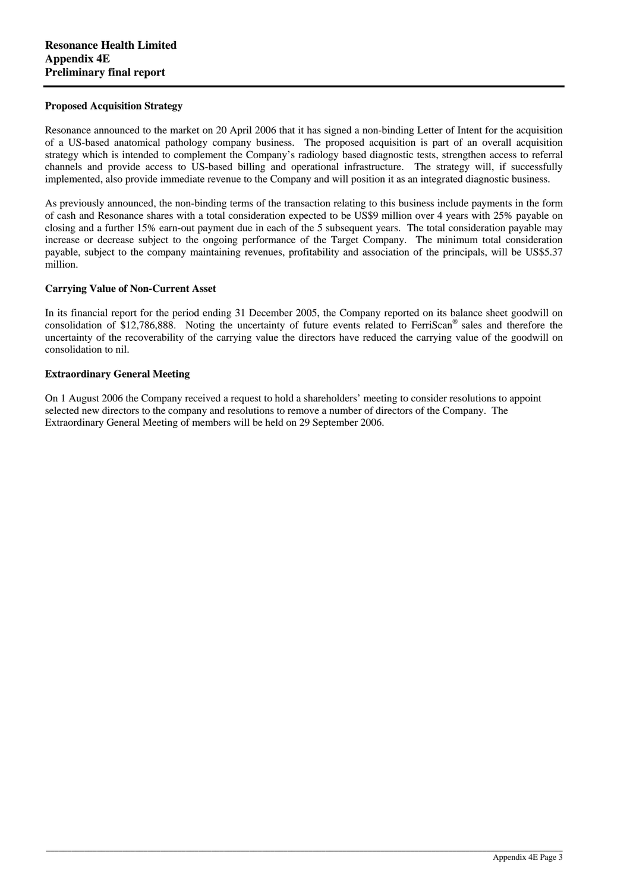#### **Proposed Acquisition Strategy**

Resonance announced to the market on 20 April 2006 that it has signed a non-binding Letter of Intent for the acquisition of a US-based anatomical pathology company business. The proposed acquisition is part of an overall acquisition strategy which is intended to complement the Company's radiology based diagnostic tests, strengthen access to referral channels and provide access to US-based billing and operational infrastructure. The strategy will, if successfully implemented, also provide immediate revenue to the Company and will position it as an integrated diagnostic business.

As previously announced, the non-binding terms of the transaction relating to this business include payments in the form of cash and Resonance shares with a total consideration expected to be US\$9 million over 4 years with 25% payable on closing and a further 15% earn-out payment due in each of the 5 subsequent years. The total consideration payable may increase or decrease subject to the ongoing performance of the Target Company. The minimum total consideration payable, subject to the company maintaining revenues, profitability and association of the principals, will be US\$5.37 million.

#### **Carrying Value of Non-Current Asset**

In its financial report for the period ending 31 December 2005, the Company reported on its balance sheet goodwill on consolidation of \$12,786,888. Noting the uncertainty of future events related to FerriScan® sales and therefore the uncertainty of the recoverability of the carrying value the directors have reduced the carrying value of the goodwill on consolidation to nil.

#### **Extraordinary General Meeting**

On 1 August 2006 the Company received a request to hold a shareholders' meeting to consider resolutions to appoint selected new directors to the company and resolutions to remove a number of directors of the Company. The Extraordinary General Meeting of members will be held on 29 September 2006.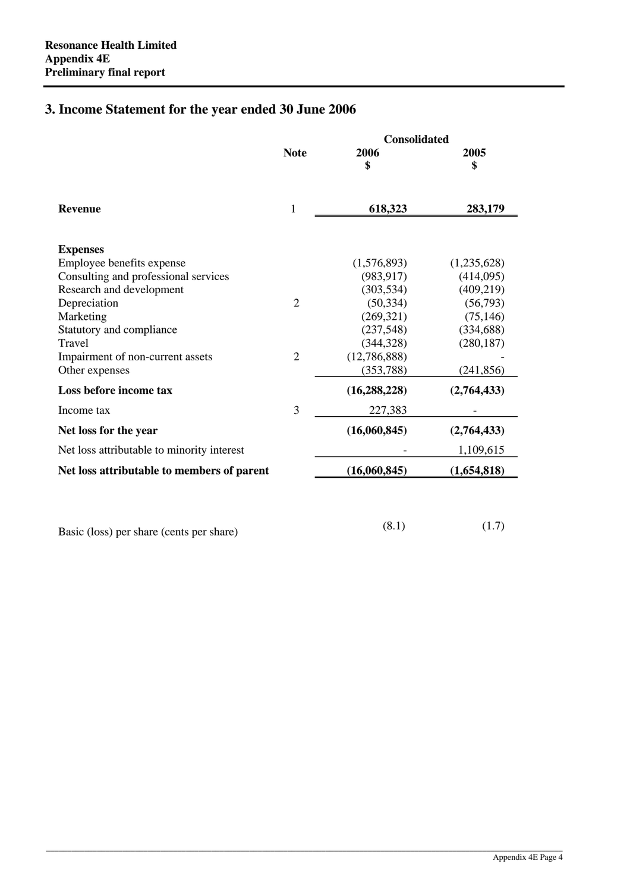# **3. Income Statement for the year ended 30 June 2006**

|                                              |                | <b>Consolidated</b> |             |  |  |
|----------------------------------------------|----------------|---------------------|-------------|--|--|
|                                              | <b>Note</b>    | 2006<br>\$          | 2005<br>\$  |  |  |
| <b>Revenue</b>                               | 1              | 618,323             | 283,179     |  |  |
| <b>Expenses</b><br>Employee benefits expense |                | (1,576,893)         | (1,235,628) |  |  |
| Consulting and professional services         |                | (983, 917)          | (414,095)   |  |  |
| Research and development                     |                | (303, 534)          | (409, 219)  |  |  |
| Depreciation                                 | $\overline{2}$ | (50, 334)           | (56,793)    |  |  |
| Marketing                                    |                | (269, 321)          | (75, 146)   |  |  |
| Statutory and compliance                     |                | (237, 548)          | (334, 688)  |  |  |
| Travel                                       |                | (344, 328)          | (280, 187)  |  |  |
| Impairment of non-current assets             | $\overline{2}$ | (12,786,888)        |             |  |  |
| Other expenses                               |                | (353, 788)          | (241, 856)  |  |  |
| Loss before income tax                       |                | (16, 288, 228)      | (2,764,433) |  |  |
| Income tax                                   | 3              | 227,383             |             |  |  |
| Net loss for the year                        |                | (16,060,845)        | (2,764,433) |  |  |
| Net loss attributable to minority interest   |                |                     | 1,109,615   |  |  |
|                                              |                | (16,060,845)        |             |  |  |

\_\_\_\_\_\_\_\_\_\_\_\_\_\_\_\_\_\_\_\_\_\_\_\_\_\_\_\_\_\_\_\_\_\_\_\_\_\_\_\_\_\_\_\_\_\_\_\_\_\_\_\_\_\_\_\_\_\_\_\_\_\_\_\_\_\_\_\_\_\_\_\_\_\_\_\_\_\_\_\_\_\_\_\_\_\_\_\_\_\_\_\_\_\_\_\_\_\_\_\_\_\_\_\_\_\_\_\_\_\_\_\_\_\_\_\_\_\_\_\_\_\_

Basic (loss) per share (cents per share) (8.1) (1.7)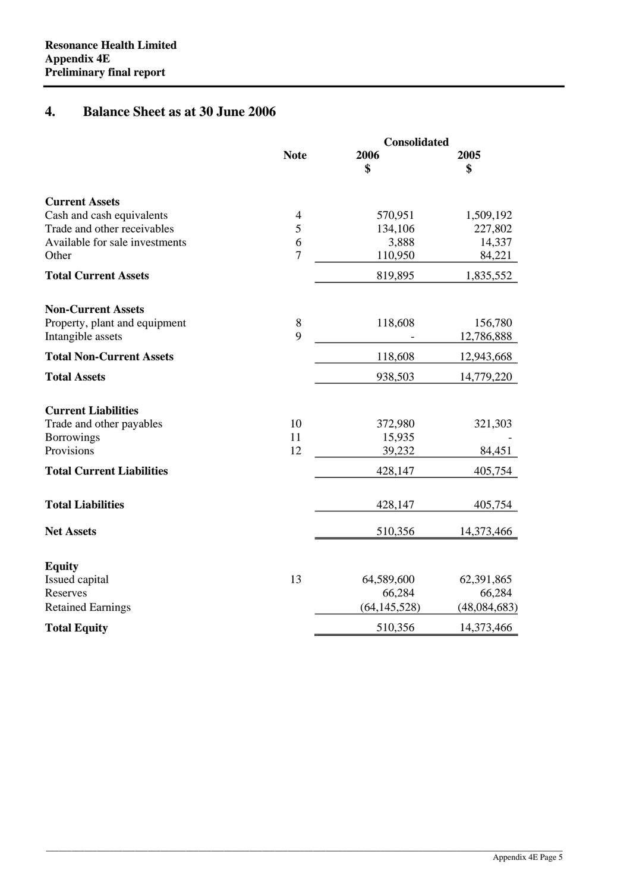# **4. Balance Sheet as at 30 June 2006**

|                                  |                | Consolidated         |                      |  |
|----------------------------------|----------------|----------------------|----------------------|--|
|                                  | <b>Note</b>    | 2006                 | 2005                 |  |
|                                  |                | \$                   | \$                   |  |
| <b>Current Assets</b>            |                |                      |                      |  |
| Cash and cash equivalents        | $\overline{4}$ | 570,951              | 1,509,192            |  |
| Trade and other receivables      | 5              | 134,106              | 227,802              |  |
| Available for sale investments   | 6              | 3,888                | 14,337               |  |
| Other                            | $\overline{7}$ | 110,950              | 84,221               |  |
| <b>Total Current Assets</b>      |                | 819,895              | 1,835,552            |  |
| <b>Non-Current Assets</b>        |                |                      |                      |  |
| Property, plant and equipment    | 8              | 118,608              | 156,780              |  |
| Intangible assets                | 9              |                      | 12,786,888           |  |
| <b>Total Non-Current Assets</b>  |                | 118,608              | 12,943,668           |  |
| <b>Total Assets</b>              |                | 938,503              | 14,779,220           |  |
| <b>Current Liabilities</b>       |                |                      |                      |  |
| Trade and other payables         | 10             | 372,980              | 321,303              |  |
| <b>Borrowings</b>                | 11             | 15,935               |                      |  |
| Provisions                       | 12             | 39,232               | 84,451               |  |
| <b>Total Current Liabilities</b> |                | 428,147              | 405,754              |  |
| <b>Total Liabilities</b>         |                | 428,147              | 405,754              |  |
| <b>Net Assets</b>                |                | 510,356              | 14,373,466           |  |
|                                  |                |                      |                      |  |
| <b>Equity</b>                    |                |                      |                      |  |
| Issued capital<br>Reserves       | 13             | 64,589,600<br>66,284 | 62,391,865<br>66,284 |  |
|                                  |                | (64, 145, 528)       |                      |  |
| <b>Retained Earnings</b>         |                |                      | (48,084,683)         |  |
| <b>Total Equity</b>              |                | 510,356              | 14,373,466           |  |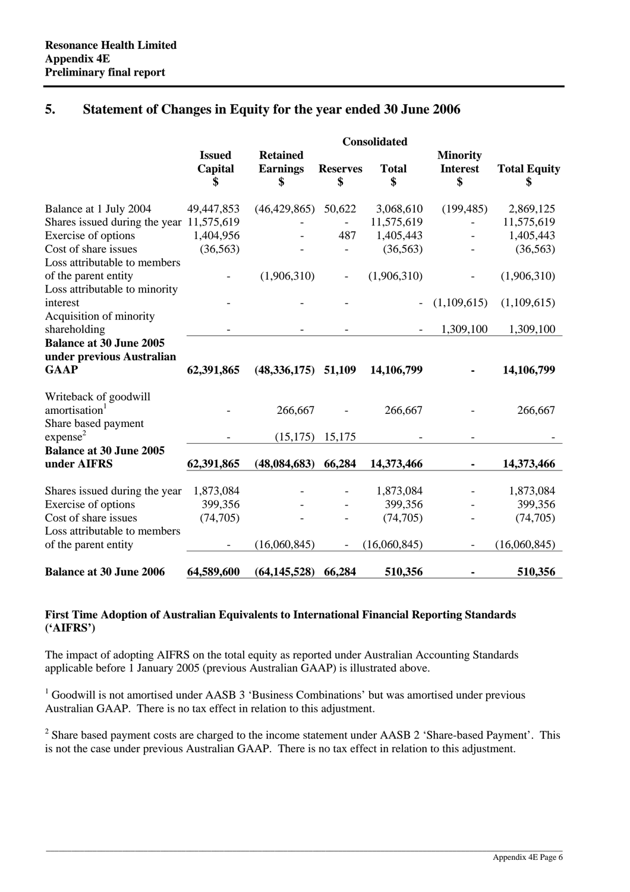### **5. Statement of Changes in Equity for the year ended 30 June 2006**

|                                                                            | <b>Consolidated</b>            |                                          |                          |                    |                                          |                     |
|----------------------------------------------------------------------------|--------------------------------|------------------------------------------|--------------------------|--------------------|------------------------------------------|---------------------|
|                                                                            | <b>Issued</b><br>Capital<br>\$ | <b>Retained</b><br><b>Earnings</b><br>\$ | <b>Reserves</b><br>\$    | <b>Total</b><br>\$ | <b>Minority</b><br><b>Interest</b><br>\$ | <b>Total Equity</b> |
| Balance at 1 July 2004                                                     | 49,447,853                     | (46, 429, 865)                           | 50,622                   | 3,068,610          | (199, 485)                               | 2,869,125           |
| Shares issued during the year                                              | 11,575,619                     |                                          |                          | 11,575,619         |                                          | 11,575,619          |
| Exercise of options                                                        | 1,404,956                      |                                          | 487                      | 1,405,443          |                                          | 1,405,443           |
| Cost of share issues<br>Loss attributable to members                       | (36, 563)                      |                                          |                          | (36, 563)          |                                          | (36, 563)           |
| of the parent entity<br>Loss attributable to minority                      |                                | (1,906,310)                              | $\overline{\phantom{0}}$ | (1,906,310)        |                                          | (1,906,310)         |
| interest<br>Acquisition of minority                                        |                                |                                          |                          |                    | (1,109,615)                              | (1,109,615)         |
| shareholding                                                               |                                |                                          |                          |                    | 1,309,100                                | 1,309,100           |
| <b>Balance at 30 June 2005</b><br>under previous Australian<br><b>GAAP</b> | 62,391,865                     | $(48,336,175)$ 51,109                    |                          | 14,106,799         |                                          | 14,106,799          |
| Writeback of goodwill                                                      |                                |                                          |                          |                    |                                          |                     |
| amortisation <sup>1</sup><br>Share based payment                           |                                | 266,667                                  |                          | 266,667            |                                          | 266,667             |
| expense <sup>2</sup>                                                       |                                | (15, 175)                                | 15,175                   |                    |                                          |                     |
| <b>Balance at 30 June 2005</b><br>under AIFRS                              | 62,391,865                     | (48,084,683)                             | 66,284                   | 14,373,466         |                                          | 14,373,466          |
| Shares issued during the year                                              | 1,873,084                      |                                          |                          | 1,873,084          |                                          | 1,873,084           |
| Exercise of options                                                        | 399,356                        |                                          |                          | 399,356            |                                          | 399,356             |
| Cost of share issues<br>Loss attributable to members                       | (74, 705)                      |                                          |                          | (74, 705)          |                                          | (74, 705)           |
| of the parent entity                                                       |                                | (16,060,845)                             |                          | (16,060,845)       |                                          | (16,060,845)        |
| <b>Balance at 30 June 2006</b>                                             | 64,589,600                     | (64, 145, 528)                           | 66,284                   | 510,356            |                                          | 510,356             |

#### **First Time Adoption of Australian Equivalents to International Financial Reporting Standards ('AIFRS')**

The impact of adopting AIFRS on the total equity as reported under Australian Accounting Standards applicable before 1 January 2005 (previous Australian GAAP) is illustrated above.

<sup>1</sup> Goodwill is not amortised under AASB 3 'Business Combinations' but was amortised under previous Australian GAAP. There is no tax effect in relation to this adjustment.

 $2^2$  Share based payment costs are charged to the income statement under AASB 2 'Share-based Payment'. This is not the case under previous Australian GAAP. There is no tax effect in relation to this adjustment.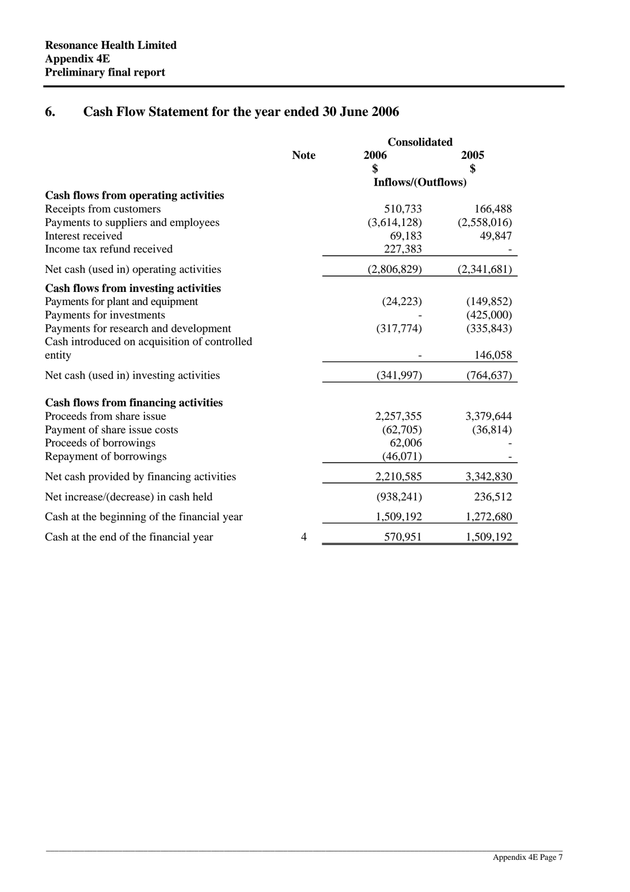# **6. Cash Flow Statement for the year ended 30 June 2006**

|                                              |                | <b>Consolidated</b> |             |  |  |
|----------------------------------------------|----------------|---------------------|-------------|--|--|
|                                              | <b>Note</b>    | 2006                | 2005        |  |  |
|                                              |                | \$                  | \$          |  |  |
|                                              |                | Inflows/(Outflows)  |             |  |  |
| <b>Cash flows from operating activities</b>  |                |                     |             |  |  |
| Receipts from customers                      |                | 510,733             | 166,488     |  |  |
| Payments to suppliers and employees          |                | (3,614,128)         | (2,558,016) |  |  |
| Interest received                            |                | 69,183              | 49,847      |  |  |
| Income tax refund received                   |                | 227,383             |             |  |  |
| Net cash (used in) operating activities      |                | (2,806,829)         | (2,341,681) |  |  |
| <b>Cash flows from investing activities</b>  |                |                     |             |  |  |
| Payments for plant and equipment             |                | (24, 223)           | (149, 852)  |  |  |
| Payments for investments                     |                |                     | (425,000)   |  |  |
| Payments for research and development        |                | (317,774)           | (335, 843)  |  |  |
| Cash introduced on acquisition of controlled |                |                     |             |  |  |
| entity                                       |                |                     | 146,058     |  |  |
| Net cash (used in) investing activities      |                | (341, 997)          | (764, 637)  |  |  |
| <b>Cash flows from financing activities</b>  |                |                     |             |  |  |
| Proceeds from share issue                    |                | 2,257,355           | 3,379,644   |  |  |
| Payment of share issue costs                 |                | (62,705)            | (36, 814)   |  |  |
| Proceeds of borrowings                       |                | 62,006              |             |  |  |
| Repayment of borrowings                      |                | (46,071)            |             |  |  |
| Net cash provided by financing activities    |                | 2,210,585           | 3,342,830   |  |  |
| Net increase/(decrease) in cash held         |                | (938, 241)          | 236,512     |  |  |
| Cash at the beginning of the financial year  |                | 1,509,192           | 1,272,680   |  |  |
| Cash at the end of the financial year        | $\overline{4}$ | 570,951             | 1,509,192   |  |  |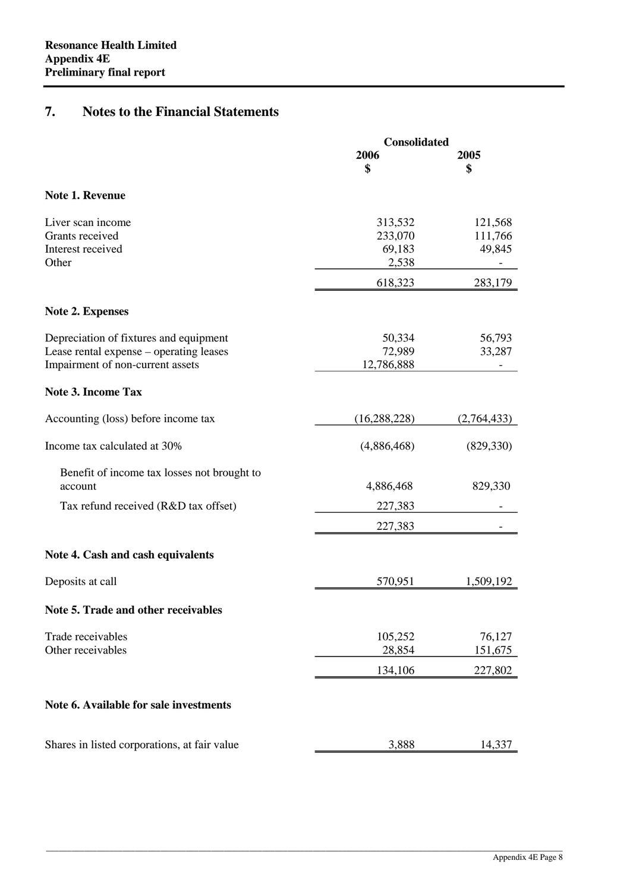# **7. Notes to the Financial Statements**

|                                                                                                                       | <b>Consolidated</b>                   |                              |  |  |
|-----------------------------------------------------------------------------------------------------------------------|---------------------------------------|------------------------------|--|--|
|                                                                                                                       | 2006<br>\$                            | 2005<br>\$                   |  |  |
| Note 1. Revenue                                                                                                       |                                       |                              |  |  |
| Liver scan income<br>Grants received<br>Interest received<br>Other                                                    | 313,532<br>233,070<br>69,183<br>2,538 | 121,568<br>111,766<br>49,845 |  |  |
|                                                                                                                       | 618,323                               | 283,179                      |  |  |
| <b>Note 2. Expenses</b>                                                                                               |                                       |                              |  |  |
| Depreciation of fixtures and equipment<br>Lease rental expense – operating leases<br>Impairment of non-current assets | 50,334<br>72,989<br>12,786,888        | 56,793<br>33,287             |  |  |
| <b>Note 3. Income Tax</b>                                                                                             |                                       |                              |  |  |
| Accounting (loss) before income tax                                                                                   | (16, 288, 228)                        | (2,764,433)                  |  |  |
| Income tax calculated at 30%                                                                                          | (4,886,468)                           | (829, 330)                   |  |  |
| Benefit of income tax losses not brought to<br>account                                                                | 4,886,468                             | 829,330                      |  |  |
| Tax refund received (R&D tax offset)                                                                                  | 227,383<br>227,383                    |                              |  |  |
| Note 4. Cash and cash equivalents                                                                                     |                                       |                              |  |  |
| Deposits at call                                                                                                      | 570,951                               | 1,509,192                    |  |  |
| Note 5. Trade and other receivables                                                                                   |                                       |                              |  |  |
| Trade receivables<br>Other receivables                                                                                | 105,252<br>28,854                     | 76,127<br>151,675            |  |  |
|                                                                                                                       | 134,106                               | 227,802                      |  |  |
| Note 6. Available for sale investments                                                                                |                                       |                              |  |  |
| Shares in listed corporations, at fair value                                                                          | 3,888                                 | 14,337                       |  |  |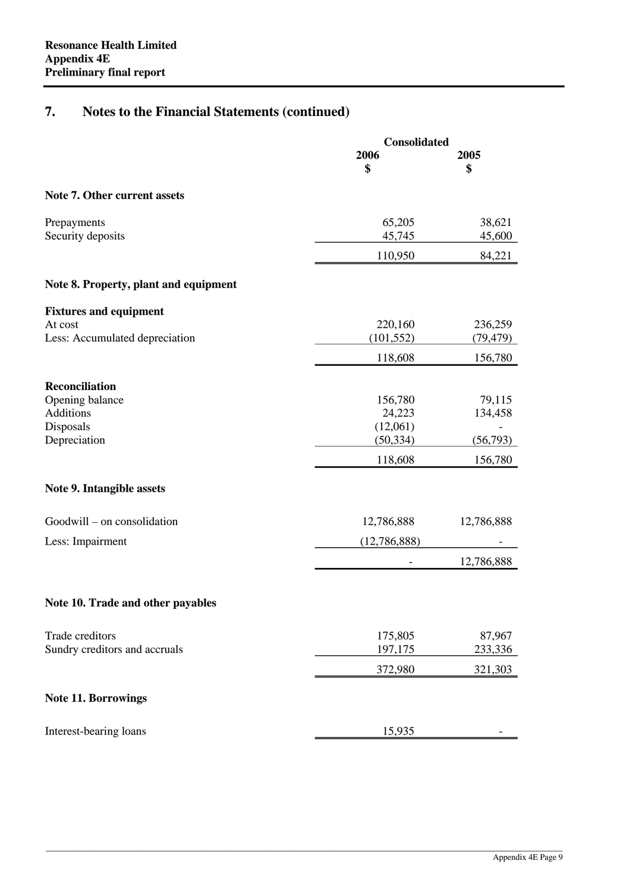# **7. Notes to the Financial Statements (continued)**

|                                                  | Consolidated          |                      |  |
|--------------------------------------------------|-----------------------|----------------------|--|
|                                                  | 2006<br>\$            | 2005<br>\$           |  |
| <b>Note 7. Other current assets</b>              |                       |                      |  |
| Prepayments<br>Security deposits                 | 65,205<br>45,745      | 38,621<br>45,600     |  |
|                                                  | 110,950               | 84,221               |  |
| Note 8. Property, plant and equipment            |                       |                      |  |
| <b>Fixtures and equipment</b>                    |                       |                      |  |
| At cost<br>Less: Accumulated depreciation        | 220,160<br>(101, 552) | 236,259<br>(79, 479) |  |
|                                                  | 118,608               | 156,780              |  |
| <b>Reconciliation</b>                            |                       |                      |  |
| Opening balance<br>Additions                     | 156,780<br>24,223     | 79,115<br>134,458    |  |
| Disposals<br>Depreciation                        | (12,061)<br>(50, 334) | (56,793)             |  |
|                                                  | 118,608               | 156,780              |  |
| Note 9. Intangible assets                        |                       |                      |  |
| Goodwill – on consolidation                      | 12,786,888            | 12,786,888           |  |
| Less: Impairment                                 | (12,786,888)          |                      |  |
|                                                  |                       | 12,786,888           |  |
| Note 10. Trade and other payables                |                       |                      |  |
|                                                  |                       |                      |  |
| Trade creditors<br>Sundry creditors and accruals | 175,805<br>197,175    | 87,967<br>233,336    |  |
|                                                  | 372,980               | 321,303              |  |
| <b>Note 11. Borrowings</b>                       |                       |                      |  |
| Interest-bearing loans                           | 15,935                |                      |  |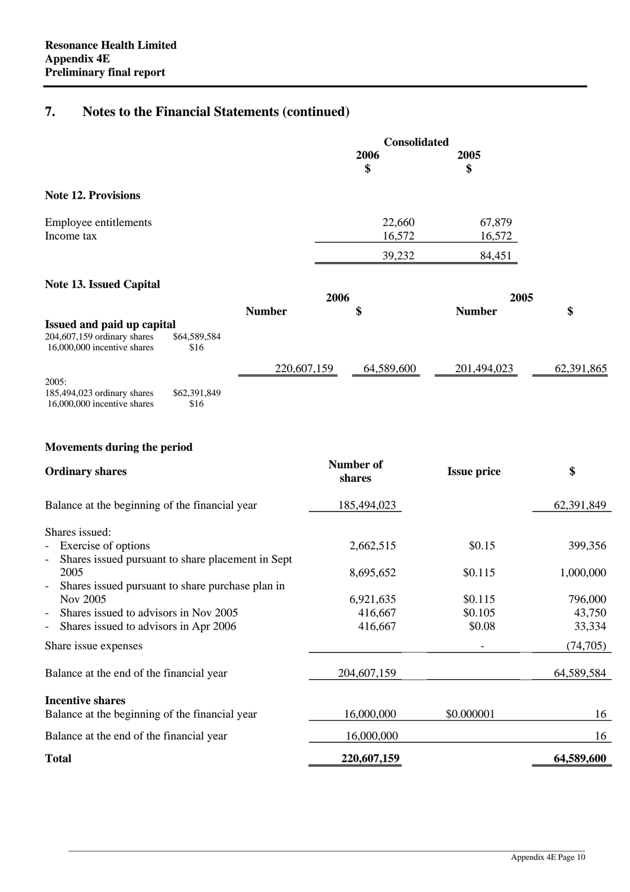# **7. Notes to the Financial Statements (continued)**

|                            | <b>Consolidated</b> |            |  |
|----------------------------|---------------------|------------|--|
|                            | 2006<br>\$          | 2005<br>\$ |  |
| <b>Note 12. Provisions</b> |                     |            |  |
| Employee entitlements      | 22,660              | 67,879     |  |
| Income tax                 | 16,572              | 16,572     |  |
|                            | 39,232              | 84,451     |  |

#### **Note 13. Issued Capital**

|                                                              |                      | 2006          |            | 2005          |            |
|--------------------------------------------------------------|----------------------|---------------|------------|---------------|------------|
|                                                              |                      | <b>Number</b> | \$         | <b>Number</b> | \$         |
| Issued and paid up capital                                   |                      |               |            |               |            |
| $204,607,159$ ordinary shares<br>16,000,000 incentive shares | \$64,589,584<br>\$16 |               |            |               |            |
|                                                              |                      | 220,607,159   | 64,589,600 | 201,494,023   | 62,391,865 |
| 2005:                                                        |                      |               |            |               |            |
| 185,494,023 ordinary shares<br>16,000,000 incentive shares   | \$62,391,849<br>\$16 |               |            |               |            |

#### **Movements during the period**

| <b>Ordinary shares</b>                                                        | Number of<br>shares | <b>Issue price</b> | \$         |
|-------------------------------------------------------------------------------|---------------------|--------------------|------------|
| Balance at the beginning of the financial year                                | 185,494,023         |                    | 62,391,849 |
| Shares issued:                                                                |                     |                    |            |
| Exercise of options<br>$\overline{\phantom{0}}$                               | 2,662,515           | \$0.15             | 399,356    |
| Shares issued pursuant to share placement in Sept<br>$\overline{\phantom{0}}$ |                     |                    |            |
| 2005                                                                          | 8,695,652           | \$0.115            | 1,000,000  |
| Shares issued pursuant to share purchase plan in<br>$\overline{\phantom{a}}$  |                     |                    |            |
| Nov 2005                                                                      | 6,921,635           | \$0.115            | 796,000    |
| Shares issued to advisors in Nov 2005<br>$\overline{\phantom{0}}$             | 416,667             | \$0.105            | 43,750     |
| Shares issued to advisors in Apr 2006<br>-                                    | 416,667             | \$0.08             | 33,334     |
| Share issue expenses                                                          |                     |                    | (74, 705)  |
| Balance at the end of the financial year                                      | 204,607,159         |                    | 64,589,584 |
| <b>Incentive shares</b>                                                       |                     |                    |            |
| Balance at the beginning of the financial year                                | 16,000,000          | \$0.000001         | 16         |
| Balance at the end of the financial year                                      | 16,000,000          |                    | 16         |
| <b>Total</b>                                                                  | 220,607,159         |                    | 64,589,600 |

 $\_$  , and the set of the set of the set of the set of the set of the set of the set of the set of the set of the set of the set of the set of the set of the set of the set of the set of the set of the set of the set of th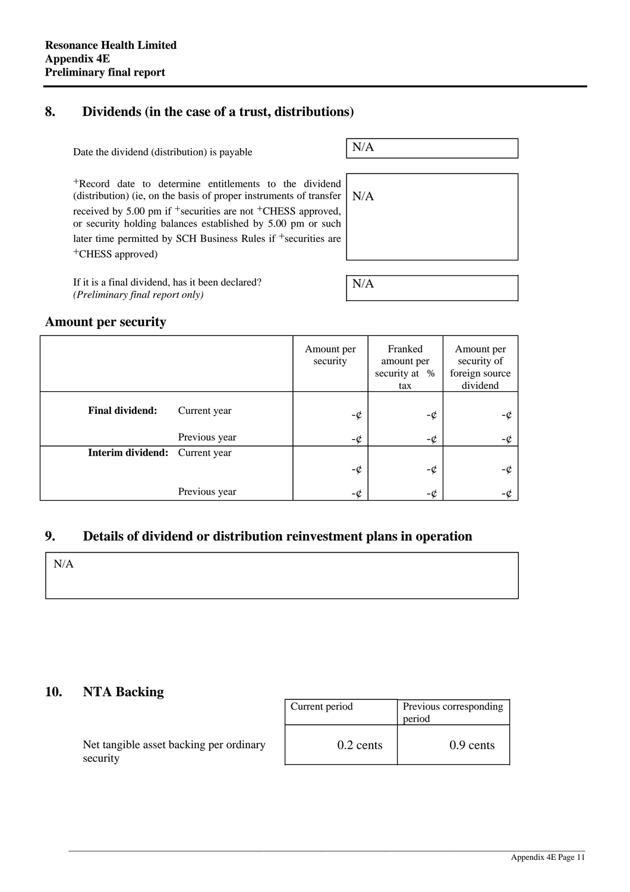## **8. Dividends (in the case of a trust, distributions)**

| Date the dividend (distribution) is payable                                                                                              | N/A |
|------------------------------------------------------------------------------------------------------------------------------------------|-----|
|                                                                                                                                          |     |
| <sup>+</sup> Record date to determine entitlements to the dividend<br>(distribution) (ie, on the basis of proper instruments of transfer | N/A |
| received by 5.00 pm if $+$ securities are not $+$ CHESS approved,<br>or security holding balances established by 5.00 pm or such         |     |
| later time permitted by SCH Business Rules if $+$ securities are                                                                         |     |
| <sup>+</sup> CHESS approved)                                                                                                             |     |
|                                                                                                                                          |     |
| If it is a final dividend, has it been declared?<br>(Preliminary final report only)                                                      | N/A |

If it is a final dividend, has it been declared? *(Preliminary final report only)*

#### **Amount per security**

|                        |               | Amount per<br>security | Franked<br>amount per<br>security at %<br>tax | Amount per<br>security of<br>foreign source<br>dividend |
|------------------------|---------------|------------------------|-----------------------------------------------|---------------------------------------------------------|
| <b>Final dividend:</b> | Current year  | $-\phi$                | -¢                                            | -¢                                                      |
|                        | Previous year | -¢                     | -¢                                            | -¢                                                      |
| Interim dividend:      | Current year  |                        |                                               |                                                         |
|                        |               | -¢                     | -¢                                            | -¢                                                      |
|                        | Previous year | -¢                     | -¢                                            | $-c$                                                    |

### **9. Details of dividend or distribution reinvestment plans in operation**

N/A

# **10. NTA Backing**

| Current period | Previous corresponding<br>period |
|----------------|----------------------------------|
| $0.2$ cents    | $0.9$ cents                      |

 $\_$  , and the set of the set of the set of the set of the set of the set of the set of the set of the set of the set of the set of the set of the set of the set of the set of the set of the set of the set of the set of th

Net tangible asset backing per ordinary security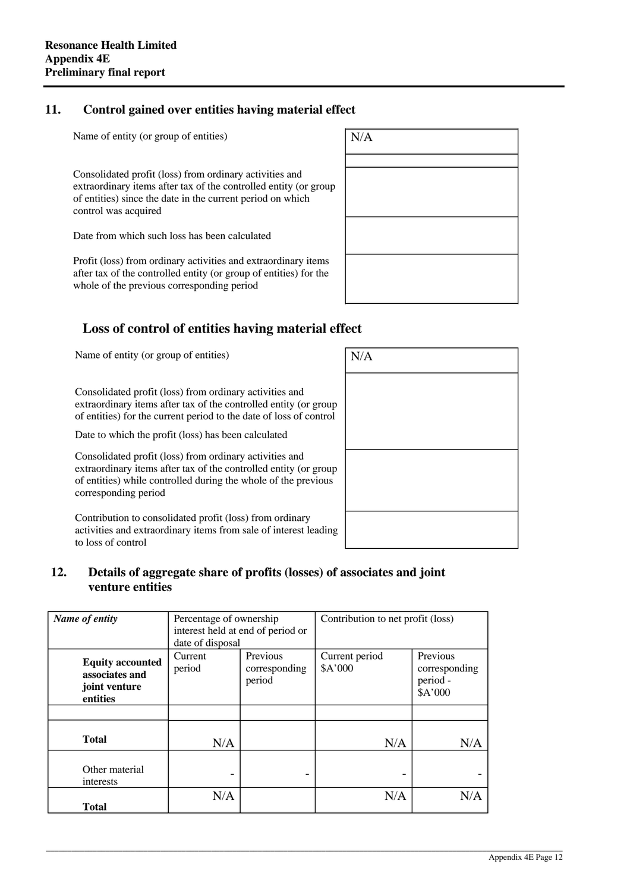### **11. Control gained over entities having material effect**

Name of entity (or group of entities)  $N/A$ 

Consolidated profit (loss) from ordinary activities and extraordinary items after tax of the controlled entity (or group of entities) since the date in the current period on which control was acquired

Date from which such loss has been calculated

Profit (loss) from ordinary activities and extraordinary items after tax of the controlled entity (or group of entities) for the whole of the previous corresponding period



# **Loss of control of entities having material effect**

Name of entity (or group of entities)  $N/A$ 

Consolidated profit (loss) from ordinary activities and extraordinary items after tax of the controlled entity (or group of entities) for the current period to the date of loss of control

Date to which the profit (loss) has been calculated

Consolidated profit (loss) from ordinary activities and extraordinary items after tax of the controlled entity (or group of entities) while controlled during the whole of the previous corresponding period

Contribution to consolidated profit (loss) from ordinary activities and extraordinary items from sale of interest leading to loss of control

| $\rm N/A$ |  |  |
|-----------|--|--|
|           |  |  |
|           |  |  |
|           |  |  |
|           |  |  |
|           |  |  |
|           |  |  |

#### **12. Details of aggregate share of profits (losses) of associates and joint venture entities**

| Name of entity                                                         | Percentage of ownership<br>interest held at end of period or<br>date of disposal |                                     | Contribution to net profit (loss) |                                                  |
|------------------------------------------------------------------------|----------------------------------------------------------------------------------|-------------------------------------|-----------------------------------|--------------------------------------------------|
| <b>Equity accounted</b><br>associates and<br>joint venture<br>entities | Current<br>period                                                                | Previous<br>corresponding<br>period | Current period<br>\$A'000         | Previous<br>corresponding<br>period -<br>\$A'000 |
|                                                                        |                                                                                  |                                     |                                   |                                                  |
| <b>Total</b>                                                           | N/A                                                                              |                                     | N/A                               | N/A                                              |
| Other material<br>interests                                            |                                                                                  |                                     | $\overline{\phantom{0}}$          |                                                  |
| <b>Total</b>                                                           | N/A                                                                              |                                     | N/A                               | N/A                                              |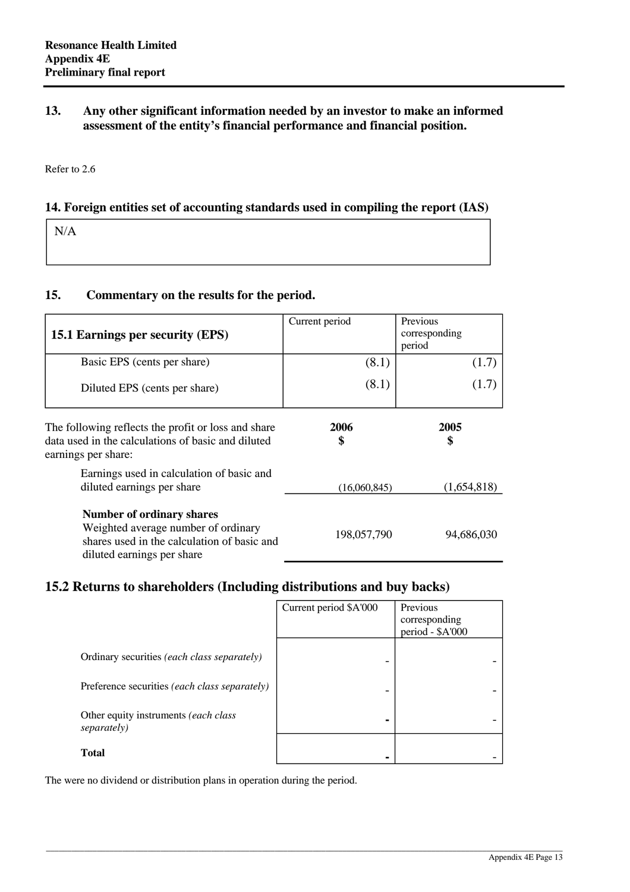#### **13. Any other significant information needed by an investor to make an informed assessment of the entity's financial performance and financial position.**

Refer to 2.6

#### **14. Foreign entities set of accounting standards used in compiling the report (IAS)**

N/A

#### **15. Commentary on the results for the period.**

| 15.1 Earnings per security (EPS)                                                                                                                     | Current period | Previous<br>corresponding<br>period |
|------------------------------------------------------------------------------------------------------------------------------------------------------|----------------|-------------------------------------|
| Basic EPS (cents per share)                                                                                                                          | (8.1)          | (1.7)                               |
| Diluted EPS (cents per share)                                                                                                                        | (8.1)          | (1.7)                               |
| The following reflects the profit or loss and share<br>data used in the calculations of basic and diluted<br>earnings per share:                     | 2006<br>\$     | 2005<br>\$                          |
| Earnings used in calculation of basic and<br>diluted earnings per share                                                                              | (16,060,845)   | (1,654,818)                         |
| <b>Number of ordinary shares</b><br>Weighted average number of ordinary<br>shares used in the calculation of basic and<br>diluted earnings per share | 198,057,790    | 94,686,030                          |

# **15.2 Returns to shareholders (Including distributions and buy backs)**

|                                                              | Current period \$A'000   | Previous<br>corresponding<br>period - \$A'000 |
|--------------------------------------------------------------|--------------------------|-----------------------------------------------|
| Ordinary securities (each class separately)                  |                          |                                               |
| Preference securities (each class separately)                | $\overline{\phantom{0}}$ |                                               |
| Other equity instruments <i>(each class</i> )<br>separately) | $\blacksquare$           |                                               |
| <b>Total</b>                                                 |                          |                                               |

\_\_\_\_\_\_\_\_\_\_\_\_\_\_\_\_\_\_\_\_\_\_\_\_\_\_\_\_\_\_\_\_\_\_\_\_\_\_\_\_\_\_\_\_\_\_\_\_\_\_\_\_\_\_\_\_\_\_\_\_\_\_\_\_\_\_\_\_\_\_\_\_\_\_\_\_\_\_\_\_\_\_\_\_\_\_\_\_\_\_\_\_\_\_\_\_\_\_\_\_\_\_\_\_\_\_\_\_\_\_\_\_\_\_\_\_\_\_\_\_\_\_

The were no dividend or distribution plans in operation during the period.